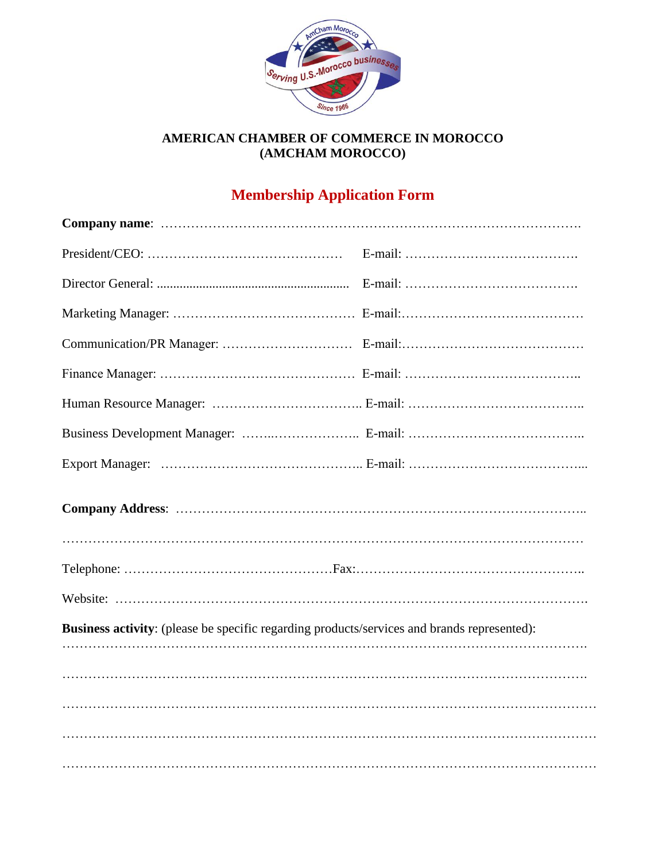

## **AMERICAN CHAMBER OF COMMERCE IN MOROCCO (AMCHAM MOROCCO)**

# **Membership Application Form**

| Business activity: (please be specific regarding products/services and brands represented): |  |
|---------------------------------------------------------------------------------------------|--|
|                                                                                             |  |
|                                                                                             |  |
|                                                                                             |  |
|                                                                                             |  |
|                                                                                             |  |